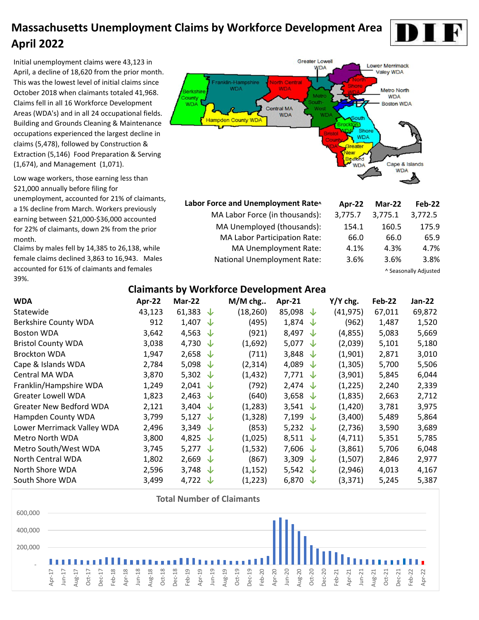Initial unemployment claims were 43,123 in April, a decline of 18,620 from the prior month. This was the lowest level of initial claims since October 2018 when claimants totaled 41,968. Claims fell in all 16 Workforce Development Areas (WDA's) and in all 24 occupational fields. Building and Grounds Cleaning & Maintenance occupations experienced the largest decline in claims (5,478), followed by Construction & Extraction (5,146) Food Preparation & Serving (1,674), and Management (1,071).

Low wage workers, those earning less than \$21,000 annually before filing for unemployment, accounted for 21% of claimants, a 1% decline from March. Workers previously earning between \$21,000-\$36,000 accounted for 22% of claimants, down 2% from the prior month.

Claims by males fell by 14,385 to 26,138, while female claims declined 3,863 to 16,943. Males accounted for 61% of claimants and females 39%.



| Labor Force and Unemployment Rate^  | Apr-22  | Mar-22  | Feb-22                |
|-------------------------------------|---------|---------|-----------------------|
| MA Labor Force (in thousands):      | 3,775.7 | 3,775.1 | 3,772.5               |
| MA Unemployed (thousands):          | 154.1   | 160.5   | 175.9                 |
| <b>MA Labor Participation Rate:</b> | 66.0    | 66.0    | 65.9                  |
| MA Unemployment Rate:               | 4.1%    | 4.3%    | 4.7%                  |
| <b>National Unemployment Rate:</b>  | 3.6%    | 3.6%    | 3.8%                  |
|                                     |         |         | ^ Seasonally Adjusted |

#### **Claimants by Workforce Development Area**

| <b>WDA</b>                     | Apr-22 | Mar-22             |              | $M/M$ chg | Apr-21             |            | Y/Y chg. | Feb-22 | Jan-22 |
|--------------------------------|--------|--------------------|--------------|-----------|--------------------|------------|----------|--------|--------|
| Statewide                      | 43,123 | 61,383             | ◡            | (18, 260) | 85,098             | J          | (41,975) | 67,011 | 69,872 |
| <b>Berkshire County WDA</b>    | 912    | 1,407              | ◡            | (495)     | 1,874              | ◡          | (962)    | 1,487  | 1,520  |
| <b>Boston WDA</b>              | 3,642  | 4,563              | $\downarrow$ | (921)     | 8,497              | ◡          | (4,855)  | 5,083  | 5,669  |
| <b>Bristol County WDA</b>      | 3,038  | 4,730              | ◡            | (1,692)   | 5,077              | ◡          | (2,039)  | 5,101  | 5,180  |
| <b>Brockton WDA</b>            | 1,947  | 2,658              | ◡            | (711)     | 3,848              | ◡          | (1,901)  | 2,871  | 3,010  |
| Cape & Islands WDA             | 2,784  | 5,098              | ╰┸           | (2,314)   | 4,089              | ◡          | (1,305)  | 5,700  | 5,506  |
| Central MA WDA                 | 3,870  | 5,302 $\sqrt{ }$   |              | (1, 432)  | 7,771 $\downarrow$ |            | (3,901)  | 5,845  | 6,044  |
| Franklin/Hampshire WDA         | 1,249  | 2,041 $\downarrow$ |              | (792)     | 2,474 $\downarrow$ |            | (1, 225) | 2,240  | 2,339  |
| <b>Greater Lowell WDA</b>      | 1,823  | 2,463 $\sqrt{ }$   |              | (640)     | 3,658 $\downarrow$ |            | (1,835)  | 2,663  | 2,712  |
| <b>Greater New Bedford WDA</b> | 2,121  | 3,404              | ╰┸           | (1,283)   | 3,541              | <b>√</b> ∠ | (1,420)  | 3,781  | 3,975  |
| Hampden County WDA             | 3,799  | 5,127              | ╰┸           | (1, 328)  | 7,199              | ◡          | (3,400)  | 5,489  | 5,864  |
| Lower Merrimack Valley WDA     | 2,496  | 3,349              | ╰┸           | (853)     | 5,232              | √          | (2,736)  | 3,590  | 3,689  |
| Metro North WDA                | 3,800  | 4,825              | √            | (1,025)   | 8,511              | √          | (4, 711) | 5,351  | 5,785  |
| Metro South/West WDA           | 3,745  | 5,277              | $\downarrow$ | (1,532)   | 7,606              | ◡          | (3,861)  | 5,706  | 6,048  |
| North Central WDA              | 1,802  | 2,669              | $\downarrow$ | (867)     | 3,309              | ◡          | (1,507)  | 2,846  | 2,977  |
| North Shore WDA                | 2,596  | 3,748 $\downarrow$ |              | (1, 152)  | 5,542              | √          | (2,946)  | 4,013  | 4,167  |
| South Shore WDA                | 3,499  | 4,722 $\downarrow$ |              | (1,223)   | 6,870              | ∿          | (3, 371) | 5,245  | 5,387  |

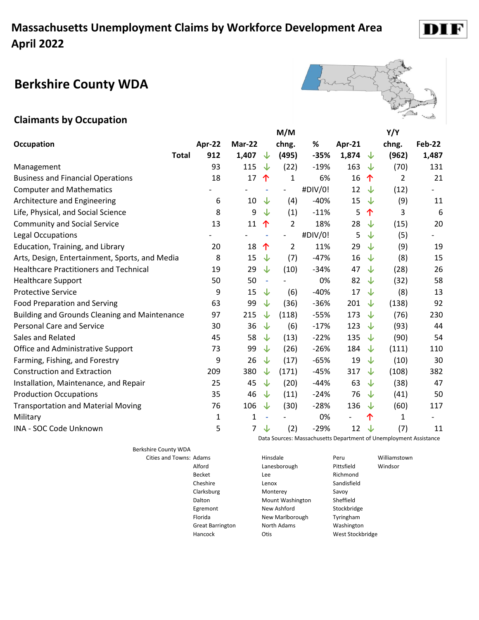#### **Berkshire County WDA**



#### **Claimants by Occupation**

|                                                      |        |                |                          | M/M                      |         |                          |              | Y/Y   |        |
|------------------------------------------------------|--------|----------------|--------------------------|--------------------------|---------|--------------------------|--------------|-------|--------|
| Occupation                                           | Apr-22 | Mar-22         |                          | chng.                    | %       | Apr-21                   |              | chng. | Feb-22 |
| <b>Total</b>                                         | 912    | 1,407          | ↓                        | (495)                    | $-35%$  | 1,874                    | ⇃            | (962) | 1,487  |
| Management                                           | 93     | 115            | ↓                        | (22)                     | $-19%$  | 163                      | √            | (70)  | 131    |
| <b>Business and Financial Operations</b>             | 18     | 17             | 个                        | $\mathbf{1}$             | 6%      | 16                       | 个            | 2     | 21     |
| <b>Computer and Mathematics</b>                      |        |                |                          | $\overline{\phantom{a}}$ | #DIV/0! | 12                       | ↓            | (12)  |        |
| Architecture and Engineering                         | 6      | 10             | ↓                        | (4)                      | $-40%$  | 15                       | $\downarrow$ | (9)   | 11     |
| Life, Physical, and Social Science                   | 8      | 9              | ↓                        | (1)                      | $-11%$  | 5                        | 个            | 3     | 6      |
| <b>Community and Social Service</b>                  | 13     | 11             | 个                        | $\overline{2}$           | 18%     | 28                       | ⇃            | (15)  | 20     |
| Legal Occupations                                    |        |                | $\overline{\phantom{a}}$ | $\overline{\phantom{a}}$ | #DIV/0! | 5                        | ↓            | (5)   |        |
| Education, Training, and Library                     | 20     | 18             | 个                        | $\overline{2}$           | 11%     | 29                       | ↓            | (9)   | 19     |
| Arts, Design, Entertainment, Sports, and Media       | 8      | 15             | ↓                        | (7)                      | $-47%$  | 16                       | ↓            | (8)   | 15     |
| <b>Healthcare Practitioners and Technical</b>        | 19     | 29             | $\downarrow$             | (10)                     | $-34%$  | 47                       | ↓            | (28)  | 26     |
| <b>Healthcare Support</b>                            | 50     | 50             | $\sim$                   |                          | 0%      | 82                       | ↓            | (32)  | 58     |
| <b>Protective Service</b>                            | 9      | 15             | ↓                        | (6)                      | $-40%$  | 17                       | ↓            | (8)   | 13     |
| <b>Food Preparation and Serving</b>                  | 63     | 99             | ↓                        | (36)                     | $-36%$  | 201                      | ↓            | (138) | 92     |
| <b>Building and Grounds Cleaning and Maintenance</b> | 97     | 215            | ↓                        | (118)                    | $-55%$  | 173                      | ↓            | (76)  | 230    |
| <b>Personal Care and Service</b>                     | 30     | 36             | $\downarrow$             | (6)                      | $-17%$  | 123                      | ↓            | (93)  | 44     |
| Sales and Related                                    | 45     | 58             | ↓                        | (13)                     | $-22%$  | 135                      | ⇃            | (90)  | 54     |
| Office and Administrative Support                    | 73     | 99             | ↓                        | (26)                     | $-26%$  | 184                      | ↓            | (111) | 110    |
| Farming, Fishing, and Forestry                       | 9      | 26             | ↓                        | (17)                     | $-65%$  | 19                       | ↓            | (10)  | 30     |
| <b>Construction and Extraction</b>                   | 209    | 380            | ↓                        | (171)                    | $-45%$  | 317                      | ↓            | (108) | 382    |
| Installation, Maintenance, and Repair                | 25     | 45             | ↓                        | (20)                     | $-44%$  | 63                       | ↓            | (38)  | 47     |
| <b>Production Occupations</b>                        | 35     | 46             | ↓                        | (11)                     | $-24%$  | 76                       | ↓            | (41)  | 50     |
| <b>Transportation and Material Moving</b>            | 76     | 106            | ↓                        | (30)                     | $-28%$  | 136                      | ↓            | (60)  | 117    |
| Military                                             | 1      | $\mathbf{1}$   | $\overline{\phantom{a}}$ |                          | 0%      | $\overline{\phantom{a}}$ | 个            | 1     |        |
| <b>INA - SOC Code Unknown</b>                        | 5      | $\overline{7}$ | ↓                        | (2)                      | $-29%$  | 12                       | └↑           | (7)   | 11     |

Berkshire County WDA

Egremont New Ashford

Data Sources: Massachusetts Department of Unemployment Assistance

Cities and Towns: Adams **Access 19 Example 20** Hinsdale **Peru** Peru Williamstown Alford Lanesborough Pittsfield Windsor Becket Lee **Lee** Richmond Cheshire Lenox Lenox Sandisfield Clarksburg Monterey Savoy Dalton Mount Washington Sheffield<br>
Egremont Mew Ashford Stockbridge Florida Mew Marlborough Tyringham Great Barrington **North Adams** Washington Hancock Otis Otis West Stockbridge

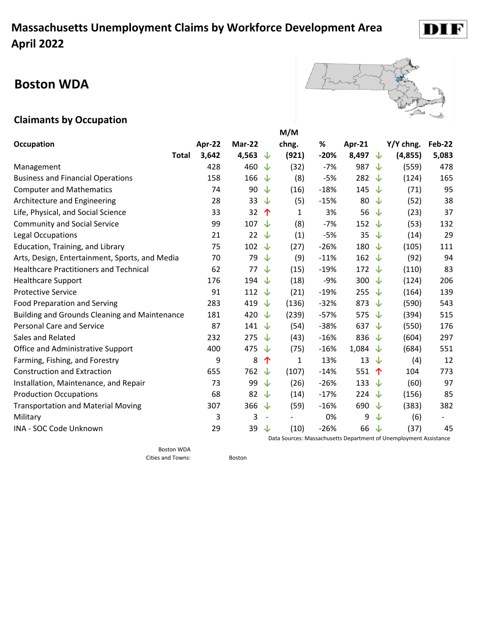# **Boston WDA**



#### **Claimants by Occupation**

|                                                      |        |                |                          | M/M   |        |                |                       |                                                                           |               |
|------------------------------------------------------|--------|----------------|--------------------------|-------|--------|----------------|-----------------------|---------------------------------------------------------------------------|---------------|
| Occupation                                           | Apr-22 | Mar-22         |                          | chng. | %      | Apr- $21$      |                       | Y/Y chng.                                                                 | <b>Feb-22</b> |
| <b>Total</b>                                         | 3,642  | 4,563          | ∿                        | (921) | $-20%$ | 8,497          | 业                     | (4,855)                                                                   | 5,083         |
| Management                                           | 428    | 460            | J                        | (32)  | $-7%$  | 987            | ⇃                     | (559)                                                                     | 478           |
| <b>Business and Financial Operations</b>             | 158    | 166            | J                        | (8)   | $-5%$  | 282 $\sqrt{ }$ |                       | (124)                                                                     | 165           |
| <b>Computer and Mathematics</b>                      | 74     | 90             | J                        | (16)  | $-18%$ | 145 $\sqrt$    |                       | (71)                                                                      | 95            |
| Architecture and Engineering                         | 28     | 33             | ◡                        | (5)   | $-15%$ | 80             | ⇃                     | (52)                                                                      | 38            |
| Life, Physical, and Social Science                   | 33     | 32             | 个                        | 1     | 3%     | 56 $\sqrt{ }$  |                       | (23)                                                                      | 37            |
| <b>Community and Social Service</b>                  | 99     | 107            | ◡                        | (8)   | $-7%$  | 152 $\sqrt{ }$ |                       | (53)                                                                      | 132           |
| <b>Legal Occupations</b>                             | 21     | 22             | $\downarrow$             | (1)   | $-5%$  | 35             | └↑                    | (14)                                                                      | 29            |
| Education, Training, and Library                     | 75     | 102            | ◡                        | (27)  | $-26%$ | 180            | <b>√</b> ∕            | (105)                                                                     | 111           |
| Arts, Design, Entertainment, Sports, and Media       | 70     | 79             | J                        | (9)   | $-11%$ | 162 $\sqrt$    |                       | (92)                                                                      | 94            |
| <b>Healthcare Practitioners and Technical</b>        | 62     | 77             | ↓                        | (15)  | $-19%$ | 172 $\sqrt{ }$ |                       | (110)                                                                     | 83            |
| <b>Healthcare Support</b>                            | 176    | 194            | ◡                        | (18)  | $-9%$  | 300 $\sqrt$    |                       | (124)                                                                     | 206           |
| <b>Protective Service</b>                            | 91     | 112            | ◡                        | (21)  | $-19%$ | 255            | ◡                     | (164)                                                                     | 139           |
| <b>Food Preparation and Serving</b>                  | 283    | 419            | J                        | (136) | $-32%$ | 873            | ∿                     | (590)                                                                     | 543           |
| <b>Building and Grounds Cleaning and Maintenance</b> | 181    | 420            | J                        | (239) | $-57%$ | 575 $\sqrt{ }$ |                       | (394)                                                                     | 515           |
| <b>Personal Care and Service</b>                     | 87     | 141            | ∿                        | (54)  | $-38%$ | 637 $\sqrt{ }$ |                       | (550)                                                                     | 176           |
| Sales and Related                                    | 232    | 275            | J                        | (43)  | $-16%$ | 836 $\sqrt{ }$ |                       | (604)                                                                     | 297           |
| Office and Administrative Support                    | 400    | 475            | ◡                        | (75)  | $-16%$ | 1,084 $\sqrt$  |                       | (684)                                                                     | 551           |
| Farming, Fishing, and Forestry                       | 9      | 8              | 个                        | 1     | 13%    | 13             | ∿                     | (4)                                                                       | 12            |
| <b>Construction and Extraction</b>                   | 655    | 762            | ↓                        | (107) | $-14%$ | 551            | $\hat{\mathbf{\tau}}$ | 104                                                                       | 773           |
| Installation, Maintenance, and Repair                | 73     | 99             | ↓                        | (26)  | $-26%$ | 133            | √√                    | (60)                                                                      | 97            |
| <b>Production Occupations</b>                        | 68     | 82             | ◡                        | (14)  | $-17%$ | 224 $\sqrt{ }$ |                       | (156)                                                                     | 85            |
| <b>Transportation and Material Moving</b>            | 307    | 366 $\sqrt{ }$ |                          | (59)  | $-16%$ | 690 $\sqrt$    |                       | (383)                                                                     | 382           |
| Military                                             | 3      | 3              | $\overline{\phantom{a}}$ |       | 0%     | 9              | ↓                     | (6)                                                                       |               |
| INA - SOC Code Unknown                               | 29     | 39             | ↓                        | (10)  | $-26%$ | 66             | $\downarrow$          | (37)<br>Data Courses Massashusetts Denartment of Unample meant Assistance | 45            |

Boston WDA Cities and Towns: Boston

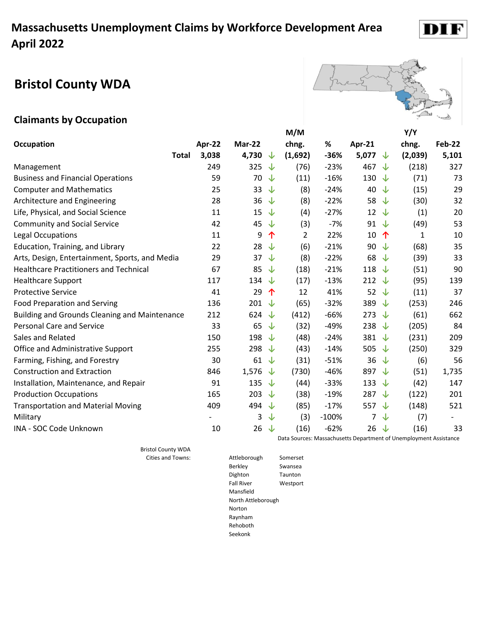# **Bristol County WDA**



D

#### **Claimants by Occupation**

|                                                      |        |                    |              | M/M     | Y/Y     |                    |     |         |               |
|------------------------------------------------------|--------|--------------------|--------------|---------|---------|--------------------|-----|---------|---------------|
| <b>Occupation</b>                                    | Apr-22 | Mar-22             |              | chng.   | %       | Apr-21             |     | chng.   | <b>Feb-22</b> |
| <b>Total</b>                                         | 3,038  | 4,730 $\downarrow$ |              | (1,692) | $-36%$  | 5,077 $\downarrow$ |     | (2,039) | 5,101         |
| Management                                           | 249    | 325                | ↓            | (76)    | $-23%$  | 467 $\downarrow$   |     | (218)   | 327           |
| <b>Business and Financial Operations</b>             | 59     | 70                 | $\downarrow$ | (11)    | $-16%$  | 130                | └ ↑ | (71)    | 73            |
| <b>Computer and Mathematics</b>                      | 25     | 33                 | ↓            | (8)     | $-24%$  | 40                 | ↓   | (15)    | 29            |
| Architecture and Engineering                         | 28     | 36                 | ↓            | (8)     | $-22%$  | 58                 | ↓   | (30)    | 32            |
| Life, Physical, and Social Science                   | 11     | 15                 | $\downarrow$ | (4)     | $-27%$  | $12 \sqrt$         |     | (1)     | 20            |
| <b>Community and Social Service</b>                  | 42     | 45                 | ↓            | (3)     | $-7%$   | 91 $\downarrow$    |     | (49)    | 53            |
| Legal Occupations                                    | 11     | 9                  | 个            | 2       | 22%     | 10                 | 个   | 1       | 10            |
| Education, Training, and Library                     | 22     | 28                 | ↓            | (6)     | $-21%$  | 90                 | └ ↑ | (68)    | 35            |
| Arts, Design, Entertainment, Sports, and Media       | 29     | 37                 | ↓            | (8)     | $-22%$  | 68                 | ↓   | (39)    | 33            |
| <b>Healthcare Practitioners and Technical</b>        | 67     | 85                 | ↓            | (18)    | $-21%$  | 118 $\downarrow$   |     | (51)    | 90            |
| <b>Healthcare Support</b>                            | 117    | 134                | ↓            | (17)    | $-13%$  | 212 $\sqrt{ }$     |     | (95)    | 139           |
| <b>Protective Service</b>                            | 41     | 29                 | 个            | 12      | 41%     | 52 $\downarrow$    |     | (11)    | 37            |
| Food Preparation and Serving                         | 136    | 201                | ↓            | (65)    | $-32%$  | 389 ↓              |     | (253)   | 246           |
| <b>Building and Grounds Cleaning and Maintenance</b> | 212    | 624                | ↓            | (412)   | $-66%$  | 273 $\downarrow$   |     | (61)    | 662           |
| <b>Personal Care and Service</b>                     | 33     | 65                 | ↓            | (32)    | $-49%$  | 238 $\sqrt{ }$     |     | (205)   | 84            |
| Sales and Related                                    | 150    | 198                | ↓            | (48)    | $-24%$  | 381 $\sqrt{ }$     |     | (231)   | 209           |
| Office and Administrative Support                    | 255    | 298                | ↓            | (43)    | $-14%$  | 505 $\sqrt$        |     | (250)   | 329           |
| Farming, Fishing, and Forestry                       | 30     | 61                 | ↓            | (31)    | $-51%$  | 36                 | ↓   | (6)     | 56            |
| <b>Construction and Extraction</b>                   | 846    | 1,576              | ↓            | (730)   | $-46%$  | 897 ↓              |     | (51)    | 1,735         |
| Installation, Maintenance, and Repair                | 91     | 135                | ↓            | (44)    | $-33%$  | 133 $\downarrow$   |     | (42)    | 147           |
| <b>Production Occupations</b>                        | 165    | 203                | J            | (38)    | $-19%$  | 287 $\downarrow$   |     | (122)   | 201           |
| <b>Transportation and Material Moving</b>            | 409    | 494                | ↓            | (85)    | $-17%$  | 557 ↓              |     | (148)   | 521           |
| Military                                             |        | 3                  | ↓            | (3)     | $-100%$ | $\overline{7}$     | ↓   | (7)     |               |
| INA - SOC Code Unknown                               | 10     | $26 \sqrt$         |              | (16)    | $-62%$  | $26 \sqrt$         |     | (16)    | 33            |
|                                                      |        |                    |              |         |         |                    |     |         |               |

Bristol County WDA

Data Sources: Massachusetts Department of Unemployment Assistance

Cities and Towns: Attleborough Somerset Berkley Swansea Dighton Taunton Fall River Westport Mansfield North Attleborough Norton Raynham Rehoboth Seekonk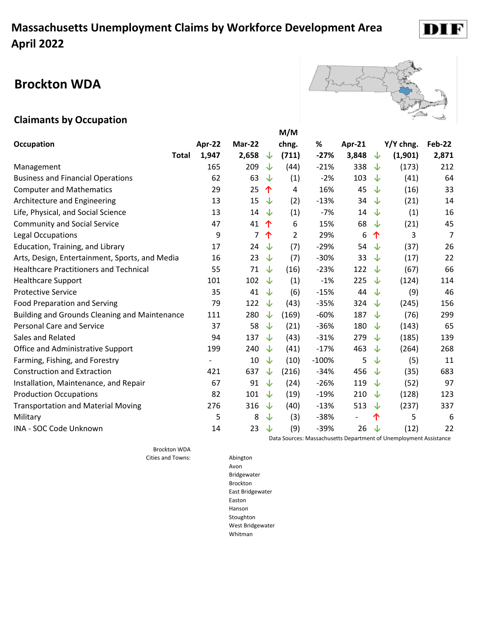### **Brockton WDA**



#### **Claimants by Occupation**

|                                                      |                          |        |   | M/M            |         |                          |   |           |        |
|------------------------------------------------------|--------------------------|--------|---|----------------|---------|--------------------------|---|-----------|--------|
| <b>Occupation</b>                                    | Apr-22                   | Mar-22 |   | chng.          | %       | Apr-21                   |   | Y/Y chng. | Feb-22 |
| <b>Total</b>                                         | 1,947                    | 2,658  | ↓ | (711)          | $-27%$  | 3,848                    | ↓ | (1,901)   | 2,871  |
| Management                                           | 165                      | 209    | ↓ | (44)           | $-21%$  | 338                      | ↓ | (173)     | 212    |
| <b>Business and Financial Operations</b>             | 62                       | 63     | ↓ | (1)            | $-2%$   | 103                      | ↓ | (41)      | 64     |
| <b>Computer and Mathematics</b>                      | 29                       | 25     | 个 | 4              | 16%     | 45                       | ↓ | (16)      | 33     |
| Architecture and Engineering                         | 13                       | 15     | ↓ | (2)            | $-13%$  | 34                       | ↓ | (21)      | 14     |
| Life, Physical, and Social Science                   | 13                       | 14     | ↓ | (1)            | $-7%$   | 14                       | ↓ | (1)       | 16     |
| <b>Community and Social Service</b>                  | 47                       | 41     | ↑ | 6              | 15%     | 68                       | J | (21)      | 45     |
| Legal Occupations                                    | 9                        | 7      | 个 | $\overline{2}$ | 29%     | 6                        | 个 | 3         | 7      |
| Education, Training, and Library                     | 17                       | 24     | ↓ | (7)            | $-29%$  | 54                       | ↓ | (37)      | 26     |
| Arts, Design, Entertainment, Sports, and Media       | 16                       | 23     | ↓ | (7)            | $-30%$  | 33                       | ↓ | (17)      | 22     |
| <b>Healthcare Practitioners and Technical</b>        | 55                       | 71     | ↓ | (16)           | $-23%$  | 122                      | ↓ | (67)      | 66     |
| <b>Healthcare Support</b>                            | 101                      | 102    | ↓ | (1)            | $-1%$   | 225                      | ↓ | (124)     | 114    |
| <b>Protective Service</b>                            | 35                       | 41     | ↓ | (6)            | $-15%$  | 44                       | J | (9)       | 46     |
| <b>Food Preparation and Serving</b>                  | 79                       | 122    | ↓ | (43)           | $-35%$  | 324                      | ↓ | (245)     | 156    |
| <b>Building and Grounds Cleaning and Maintenance</b> | 111                      | 280    | ↓ | (169)          | $-60%$  | 187                      | ↓ | (76)      | 299    |
| <b>Personal Care and Service</b>                     | 37                       | 58     | ↓ | (21)           | $-36%$  | 180                      | ↓ | (143)     | 65     |
| Sales and Related                                    | 94                       | 137    | J | (43)           | $-31%$  | 279                      | J | (185)     | 139    |
| Office and Administrative Support                    | 199                      | 240    | ↓ | (41)           | $-17%$  | 463                      | J | (264)     | 268    |
| Farming, Fishing, and Forestry                       | $\overline{\phantom{a}}$ | 10     | ↓ | (10)           | $-100%$ | 5                        | ↓ | (5)       | 11     |
| <b>Construction and Extraction</b>                   | 421                      | 637    | ↓ | (216)          | $-34%$  | 456                      | J | (35)      | 683    |
| Installation, Maintenance, and Repair                | 67                       | 91     | ↓ | (24)           | $-26%$  | 119                      | ↓ | (52)      | 97     |
| <b>Production Occupations</b>                        | 82                       | 101    | ↓ | (19)           | $-19%$  | 210                      | J | (128)     | 123    |
| <b>Transportation and Material Moving</b>            | 276                      | 316    | ↓ | (40)           | $-13%$  | 513                      | ↓ | (237)     | 337    |
| Military                                             | 5                        | 8      | ↓ | (3)            | $-38%$  | $\overline{\phantom{a}}$ | 个 | 5         | 6      |
| INA - SOC Code Unknown                               | 14                       | 23     | ↓ | (9)            | $-39%$  | 26                       | ↓ | (12)      | 22     |

Brockton WDA Cities and Towns: Abington Data Sources: Massachusetts Department of Unemployment Assistance

Avon Bridgewater Brockton East Bridgewater Easton Hanson Stoughton West Bridgewater Whitman

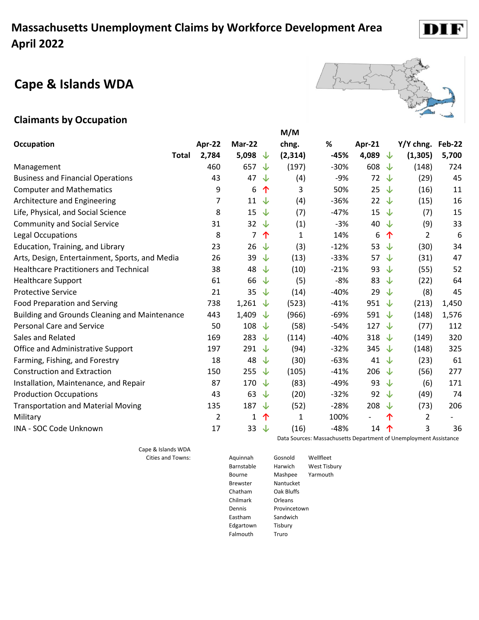#### **Cape & Islands WDA**



#### **Claimants by Occupation**

|                                                      |        |                  |    | M/M          |        |                          |              |           |        |
|------------------------------------------------------|--------|------------------|----|--------------|--------|--------------------------|--------------|-----------|--------|
| <b>Occupation</b>                                    | Apr-22 | Mar-22           |    | chng.        | %      | Apr-21                   |              | Y/Y chng. | Feb-22 |
| Total                                                | 2,784  | 5,098 $\sqrt{ }$ |    | (2, 314)     | $-45%$ | 4,089                    | ↓            | (1, 305)  | 5,700  |
| Management                                           | 460    | 657              | ⇃  | (197)        | $-30%$ | 608                      | ↓            | (148)     | 724    |
| <b>Business and Financial Operations</b>             | 43     | 47               | ⇃  | (4)          | $-9%$  | 72                       | ↓            | (29)      | 45     |
| <b>Computer and Mathematics</b>                      | 9      | 6                | 个  | 3            | 50%    | 25                       | ↓            | (16)      | 11     |
| Architecture and Engineering                         | 7      | $11 \t\sqrt{ }$  |    | (4)          | $-36%$ | 22                       | ෑ            | (15)      | 16     |
| Life, Physical, and Social Science                   | 8      | 15               | ↓  | (7)          | $-47%$ | 15                       | J            | (7)       | 15     |
| <b>Community and Social Service</b>                  | 31     | 32 $\downarrow$  |    | (1)          | $-3%$  | 40                       | ↓            | (9)       | 33     |
| Legal Occupations                                    | 8      | $\overline{7}$   | 个  | $\mathbf{1}$ | 14%    | 6                        | 个            | 2         | 6      |
| Education, Training, and Library                     | 23     | $26 \sqrt$       |    | (3)          | $-12%$ | 53                       | J            | (30)      | 34     |
| Arts, Design, Entertainment, Sports, and Media       | 26     | 39               | ↓  | (13)         | $-33%$ | 57                       | ↓            | (31)      | 47     |
| <b>Healthcare Practitioners and Technical</b>        | 38     | 48               | ⇃  | (10)         | $-21%$ | 93                       | J            | (55)      | 52     |
| <b>Healthcare Support</b>                            | 61     | 66               | ⇃  | (5)          | $-8%$  | 83                       | ෑ            | (22)      | 64     |
| <b>Protective Service</b>                            | 21     | 35               | ↓  | (14)         | $-40%$ | 29                       | ෑ            | (8)       | 45     |
| <b>Food Preparation and Serving</b>                  | 738    | 1,261 $\sqrt$    |    | (523)        | $-41%$ | 951                      | ◡            | (213)     | 1,450  |
| <b>Building and Grounds Cleaning and Maintenance</b> | 443    | 1,409            | ╰┸ | (966)        | $-69%$ | 591                      | ◡            | (148)     | 1,576  |
| <b>Personal Care and Service</b>                     | 50     | 108              | ↓  | (58)         | $-54%$ | 127                      | $\downarrow$ | (77)      | 112    |
| Sales and Related                                    | 169    | 283              | J  | (114)        | $-40%$ | 318                      | ◡            | (149)     | 320    |
| Office and Administrative Support                    | 197    | 291 $\sqrt$      |    | (94)         | $-32%$ | 345                      | ∿            | (148)     | 325    |
| Farming, Fishing, and Forestry                       | 18     | 48               | J  | (30)         | $-63%$ | 41                       | J            | (23)      | 61     |
| <b>Construction and Extraction</b>                   | 150    | 255              | ⇃  | (105)        | $-41%$ | 206                      | ↓            | (56)      | 277    |
| Installation, Maintenance, and Repair                | 87     | 170              | ⇃  | (83)         | $-49%$ | 93                       | ↓            | (6)       | 171    |
| <b>Production Occupations</b>                        | 43     | 63               | ⇃  | (20)         | $-32%$ | 92                       | ෑ            | (49)      | 74     |
| <b>Transportation and Material Moving</b>            | 135    | 187              | ↓  | (52)         | $-28%$ | 208                      | J            | (73)      | 206    |
| Military                                             | 2      | 1                | 个  | $\mathbf{1}$ | 100%   | $\overline{\phantom{a}}$ | 个            | 2         |        |
| <b>INA - SOC Code Unknown</b>                        | 17     | 33               | 、个 | (16)         | $-48%$ | 14                       | 个            | 3         | 36     |

Cape & Islands WDA

Data Sources: Massachusetts Department of Unemployment Assistance

Cities and Towns: Aquinnah Gosnold Wellfleet Barnstable Harwich West Tisbury Bourne Mashpee Yarmouth Brewster Nantucket Chatham Oak Bluffs Chilmark Orleans Dennis Provincetown Eastham Sandwich Edgartown Tisbury Falmouth Truro

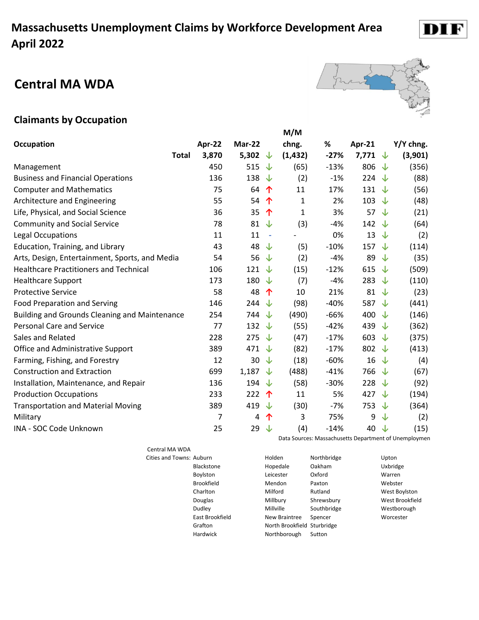#### **Central MA WDA**



#### **Claimants by Occupation**

|                                                      |        |                  |                     | M/M      |        |                    |    |           |
|------------------------------------------------------|--------|------------------|---------------------|----------|--------|--------------------|----|-----------|
| <b>Occupation</b>                                    | Apr-22 | Mar-22           |                     | chng.    | %      | Apr-21             |    | Y/Y chng. |
| <b>Total</b>                                         | 3,870  | 5,302 $\sqrt{ }$ |                     | (1, 432) | $-27%$ | 7,771 $\downarrow$ |    | (3,901)   |
| Management                                           | 450    | 515              | ↓                   | (65)     | $-13%$ | 806                | ◡  | (356)     |
| <b>Business and Financial Operations</b>             | 136    | 138              | ↓                   | (2)      | $-1%$  | 224                | ◡  | (88)      |
| <b>Computer and Mathematics</b>                      | 75     | 64               | ↑                   | 11       | 17%    | 131 $\sqrt{ }$     |    | (56)      |
| Architecture and Engineering                         | 55     | 54               | 个                   | 1        | 2%     | 103                | √  | (48)      |
| Life, Physical, and Social Science                   | 36     | 35               | $\hat{\mathcal{T}}$ | 1        | 3%     | 57                 | ╰┸ | (21)      |
| <b>Community and Social Service</b>                  | 78     | 81 $\sqrt{ }$    |                     | (3)      | $-4%$  | 142                | √  | (64)      |
| Legal Occupations                                    | 11     | 11               | $\sim$              |          | 0%     | 13                 | ෑ  | (2)       |
| Education, Training, and Library                     | 43     | 48 $\sqrt{ }$    |                     | (5)      | $-10%$ | 157                | √  | (114)     |
| Arts, Design, Entertainment, Sports, and Media       | 54     | 56               | ↓                   | (2)      | $-4%$  | 89                 | √  | (35)      |
| <b>Healthcare Practitioners and Technical</b>        | 106    | 121 $\sqrt$      |                     | (15)     | $-12%$ | 615                | J  | (509)     |
| <b>Healthcare Support</b>                            | 173    | 180 $\sqrt$      |                     | (7)      | $-4%$  | 283                | ◡  | (110)     |
| <b>Protective Service</b>                            | 58     | 48               | 个                   | 10       | 21%    | 81                 | ╰┸ | (23)      |
| <b>Food Preparation and Serving</b>                  | 146    | 244 $\sqrt$      |                     | (98)     | $-40%$ | 587                | ◡  | (441)     |
| <b>Building and Grounds Cleaning and Maintenance</b> | 254    | 744              | ↓                   | (490)    | $-66%$ | 400                | ╰┸ | (146)     |
| <b>Personal Care and Service</b>                     | 77     | 132 $\sqrt{ }$   |                     | (55)     | $-42%$ | 439                | ෑ  | (362)     |
| Sales and Related                                    | 228    | 275 $\sqrt{ }$   |                     | (47)     | $-17%$ | 603                | J  | (375)     |
| Office and Administrative Support                    | 389    | 471 $\downarrow$ |                     | (82)     | $-17%$ | 802                | ╰┸ | (413)     |
| Farming, Fishing, and Forestry                       | 12     | 30               | ╰┸                  | (18)     | $-60%$ | 16                 | ╰┸ | (4)       |
| <b>Construction and Extraction</b>                   | 699    | 1,187            | ↓                   | (488)    | $-41%$ | 766                | ෑ  | (67)      |
| Installation, Maintenance, and Repair                | 136    | 194 $\sqrt$      |                     | (58)     | $-30%$ | 228                | √  | (92)      |
| <b>Production Occupations</b>                        | 233    | 222              | 个                   | 11       | 5%     | 427                | J  | (194)     |
| <b>Transportation and Material Moving</b>            | 389    | 419              | ↓                   | (30)     | $-7%$  | 753                | √  | (364)     |
| Military                                             | 7      | 4                | 个                   | 3        | 75%    | 9                  | ↓  | (2)       |
| INA - SOC Code Unknown                               | 25     | 29               | ↓                   | (4)      | $-14%$ | 40                 | ↓  | (15)      |

Central MA WDA Grafton No Data Sources: Massachusetts Department of Unemploymen

| Cities and Towns: Auburn |                   | Holden                      | Northbridge | Upton           |
|--------------------------|-------------------|-----------------------------|-------------|-----------------|
|                          | <b>Blackstone</b> | Hopedale                    | Oakham      | Uxbridge        |
|                          | Boylston          | Leicester                   | Oxford      | Warren          |
|                          | <b>Brookfield</b> | Mendon                      | Paxton      | Webster         |
|                          | Charlton          | Milford                     | Rutland     | West Boylston   |
|                          | Douglas           | Millbury                    | Shrewsbury  | West Brookfield |
|                          | Dudley            | Millville                   | Southbridge | Westborough     |
|                          | East Brookfield   | New Braintree               | Spencer     | Worcester       |
|                          | Grafton           | North Brookfield Sturbridge |             |                 |
|                          | Hardwick          | Northborough                | Sutton      |                 |

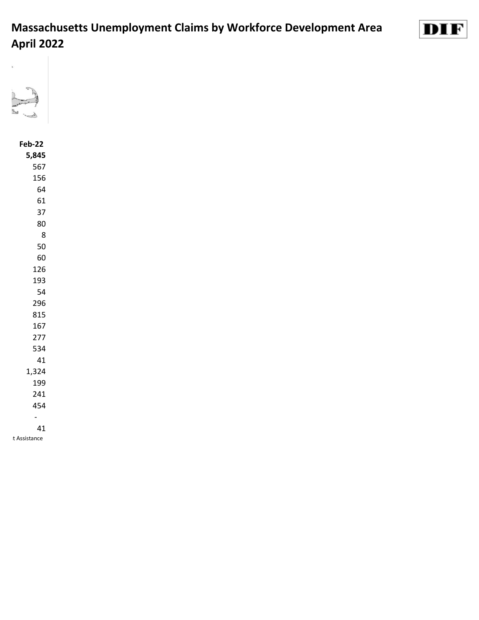



#### **Feb-22 5,845** 1,324 - t Assistance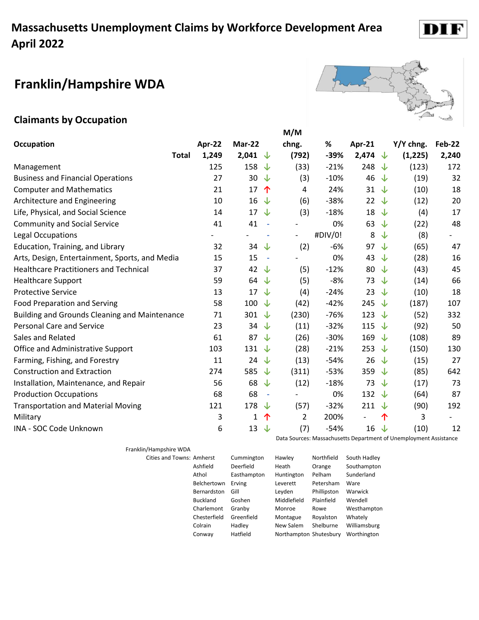# **Franklin/Hampshire WDA**

#### **Claimants by Occupation**

|                                                      |        |                                | M/M                      |         |                          |   |           |                          |
|------------------------------------------------------|--------|--------------------------------|--------------------------|---------|--------------------------|---|-----------|--------------------------|
| <b>Occupation</b>                                    | Apr-22 | Mar-22                         | chng.                    | %       | Apr-21                   |   | Y/Y chng. | <b>Feb-22</b>            |
| <b>Total</b>                                         | 1,249  | 2,041<br>∿                     | (792)                    | $-39%$  | 2,474 $\downarrow$       |   | (1,225)   | 2,240                    |
| Management                                           | 125    | 158<br>J                       | (33)                     | $-21%$  | 248                      | ↓ | (123)     | 172                      |
| <b>Business and Financial Operations</b>             | 27     | 30<br>↓                        | (3)                      | $-10%$  | 46                       | ↓ | (19)      | 32                       |
| <b>Computer and Mathematics</b>                      | 21     | 17<br>个                        | 4                        | 24%     | $31 \sqrt$               |   | (10)      | 18                       |
| Architecture and Engineering                         | 10     | $16 \sqrt$                     | (6)                      | $-38%$  | 22                       | ↓ | (12)      | 20                       |
| Life, Physical, and Social Science                   | 14     | 17<br>√                        | (3)                      | $-18%$  | 18                       | ↓ | (4)       | 17                       |
| <b>Community and Social Service</b>                  | 41     | 41<br>$\overline{\phantom{a}}$ |                          | 0%      | 63                       | ෑ | (22)      | 48                       |
| Legal Occupations                                    |        |                                | $\overline{\phantom{a}}$ | #DIV/0! | 8                        | ↓ | (8)       | $\overline{\phantom{0}}$ |
| Education, Training, and Library                     | 32     | 34 $\downarrow$                | (2)                      | $-6%$   | 97                       | ◡ | (65)      | 47                       |
| Arts, Design, Entertainment, Sports, and Media       | 15     | 15<br>$\sim$                   |                          | 0%      | 43                       | ↓ | (28)      | 16                       |
| <b>Healthcare Practitioners and Technical</b>        | 37     | 42 $\downarrow$                | (5)                      | $-12%$  | 80                       | ↓ | (43)      | 45                       |
| <b>Healthcare Support</b>                            | 59     | 64 $\downarrow$                | (5)                      | $-8%$   | 73                       | ⇃ | (14)      | 66                       |
| <b>Protective Service</b>                            | 13     | 17<br>$\downarrow$             | (4)                      | $-24%$  | 23                       | ↓ | (10)      | 18                       |
| <b>Food Preparation and Serving</b>                  | 58     | 100 $\downarrow$               | (42)                     | $-42%$  | 245                      | ⇃ | (187)     | 107                      |
| <b>Building and Grounds Cleaning and Maintenance</b> | 71     | 301<br>↓                       | (230)                    | $-76%$  | 123                      | ↓ | (52)      | 332                      |
| <b>Personal Care and Service</b>                     | 23     | 34<br>J                        | (11)                     | $-32%$  | 115                      | ⇃ | (92)      | 50                       |
| Sales and Related                                    | 61     | 87<br>↓                        | (26)                     | $-30%$  | 169                      | ⇃ | (108)     | 89                       |
| <b>Office and Administrative Support</b>             | 103    | 131 $\downarrow$               | (28)                     | $-21%$  | 253                      | ↓ | (150)     | 130                      |
| Farming, Fishing, and Forestry                       | 11     | 24 $\downarrow$                | (13)                     | $-54%$  | 26                       | ↓ | (15)      | 27                       |
| <b>Construction and Extraction</b>                   | 274    | 585<br>↓                       | (311)                    | $-53%$  | 359                      | ↓ | (85)      | 642                      |
| Installation, Maintenance, and Repair                | 56     | 68<br>↓                        | (12)                     | $-18%$  | 73                       | J | (17)      | 73                       |
| <b>Production Occupations</b>                        | 68     | 68<br>$\overline{\phantom{a}}$ | $\overline{\phantom{a}}$ | 0%      | 132 $\downarrow$         |   | (64)      | 87                       |
| <b>Transportation and Material Moving</b>            | 121    | 178<br>⇃                       | (57)                     | $-32%$  | 211                      | ↓ | (90)      | 192                      |
| Military                                             | 3      | 1<br>个                         | 2                        | 200%    | $\overline{\phantom{a}}$ | 个 | 3         |                          |
| INA - SOC Code Unknown                               | 6      | 13<br>↓                        | (7)                      | $-54%$  | 16                       | ↓ | (10)      | 12                       |

Franklin/Hampshire WDA

| <b>Cities and Towns: Amherst</b> |                 | Cummington  | Hawley                 | Northfield  | South Hadley |
|----------------------------------|-----------------|-------------|------------------------|-------------|--------------|
|                                  | Ashfield        | Deerfield   | Heath                  | Orange      | Southampton  |
|                                  | Athol           | Easthampton | Huntington             | Pelham      | Sunderland   |
|                                  | Belchertown     | Erving      | Leverett               | Petersham   | Ware         |
|                                  | Bernardston     | Gill        | Leyden                 | Phillipston | Warwick      |
|                                  | <b>Buckland</b> | Goshen      | Middlefield            | Plainfield  | Wendell      |
|                                  | Charlemont      | Granby      | Monroe                 | Rowe        | Westhampton  |
|                                  | Chesterfield    | Greenfield  | Montague               | Royalston   | Whately      |
|                                  | Colrain         | Hadley      | New Salem              | Shelburne   | Williamsburg |
|                                  | Conway          | Hatfield    | Northampton Shutesbury |             | Worthington  |
|                                  |                 |             |                        |             |              |



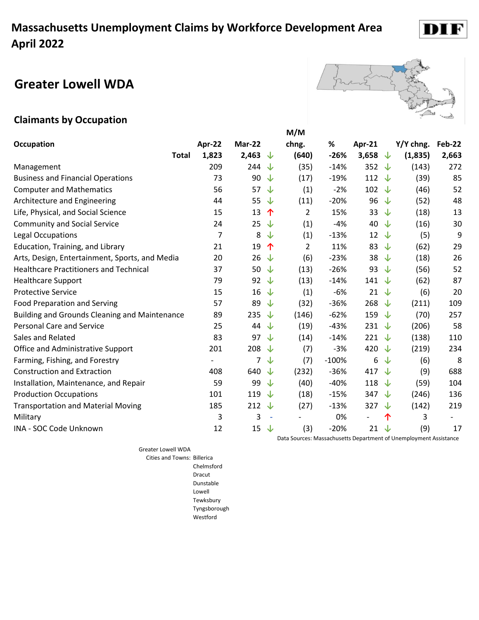# **Greater Lowell WDA**



D

#### **Claimants by Occupation**

|                                                      |                          |        |                          | M/M            |         |                  |   |           |        |
|------------------------------------------------------|--------------------------|--------|--------------------------|----------------|---------|------------------|---|-----------|--------|
| <b>Occupation</b>                                    | Apr-22                   | Mar-22 |                          | chng.          | %       | Apr-21           |   | Y/Y chng. | Feb-22 |
| Total                                                | 1,823                    | 2,463  | ∿                        | (640)          | $-26%$  | 3,658            | ↓ | (1,835)   | 2,663  |
| Management                                           | 209                      | 244    | ↓                        | (35)           | $-14%$  | 352 $\downarrow$ |   | (143)     | 272    |
| <b>Business and Financial Operations</b>             | 73                       | 90     | ↓                        | (17)           | $-19%$  | 112 $\downarrow$ |   | (39)      | 85     |
| <b>Computer and Mathematics</b>                      | 56                       | 57     | ↓                        | (1)            | $-2%$   | 102 $\sqrt$      |   | (46)      | 52     |
| Architecture and Engineering                         | 44                       | 55     | ↓                        | (11)           | $-20%$  | 96               | ↓ | (52)      | 48     |
| Life, Physical, and Social Science                   | 15                       | 13     | 个                        | $\overline{2}$ | 15%     | 33               | ↓ | (18)      | 13     |
| <b>Community and Social Service</b>                  | 24                       | 25     | ↓                        | (1)            | $-4%$   | 40               | ↓ | (16)      | 30     |
| Legal Occupations                                    | $\overline{7}$           | 8      | ↓                        | (1)            | $-13%$  | 12               | ↓ | (5)       | 9      |
| Education, Training, and Library                     | 21                       | 19     | 个                        | $\overline{2}$ | 11%     | 83               | ↓ | (62)      | 29     |
| Arts, Design, Entertainment, Sports, and Media       | 20                       | 26     | ↓                        | (6)            | $-23%$  | 38               | J | (18)      | 26     |
| <b>Healthcare Practitioners and Technical</b>        | 37                       | 50     | ↓                        | (13)           | $-26%$  | 93               | ↓ | (56)      | 52     |
| <b>Healthcare Support</b>                            | 79                       | 92     | ↓                        | (13)           | $-14%$  | 141 $\sqrt$      |   | (62)      | 87     |
| <b>Protective Service</b>                            | 15                       | 16     | ↓                        | (1)            | $-6%$   |                  |   | (6)       | 20     |
| <b>Food Preparation and Serving</b>                  | 57                       | 89     | ↓                        | (32)           | $-36%$  | 268 $\downarrow$ |   | (211)     | 109    |
| <b>Building and Grounds Cleaning and Maintenance</b> | 89                       | 235    | ↓                        | (146)          | $-62%$  | 159 $\sqrt$      |   | (70)      | 257    |
| <b>Personal Care and Service</b>                     | 25                       | 44     | $\downarrow$             | (19)           | $-43%$  | 231 $\sqrt{ }$   |   | (206)     | 58     |
| Sales and Related                                    | 83                       | 97     | ◡                        | (14)           | $-14%$  | 221 $\downarrow$ |   | (138)     | 110    |
| Office and Administrative Support                    | 201                      | 208    | ↓                        | (7)            | $-3%$   | 420              | ◡ | (219)     | 234    |
| Farming, Fishing, and Forestry                       | $\overline{\phantom{a}}$ | 7      | ↓                        | (7)            | $-100%$ | 6                | ↓ | (6)       | 8      |
| <b>Construction and Extraction</b>                   | 408                      | 640    | ↓                        | (232)          | $-36%$  | 417 $\sqrt{ }$   |   | (9)       | 688    |
| Installation, Maintenance, and Repair                | 59                       | 99     | ↓                        | (40)           | $-40%$  | 118              | ↓ | (59)      | 104    |
| <b>Production Occupations</b>                        | 101                      | 119    | ↓                        | (18)           | $-15%$  | 347 $\downarrow$ |   | (246)     | 136    |
| <b>Transportation and Material Moving</b>            | 185                      | 212    | √                        | (27)           | $-13%$  | 327 $\sqrt{ }$   |   | (142)     | 219    |
| Military                                             | 3                        | 3      | $\overline{\phantom{a}}$ |                | 0%      |                  | 个 | 3         |        |
| INA - SOC Code Unknown                               | 12                       | 15     | ↓                        | (3)            | $-20%$  | $21 \sqrt$       |   | (9)       | 17     |

Greater Lowell WDA Cities and Towns: Billerica

Chelmsford Dracut Dunstable Lowell Tewksbury Tyngsborough Westford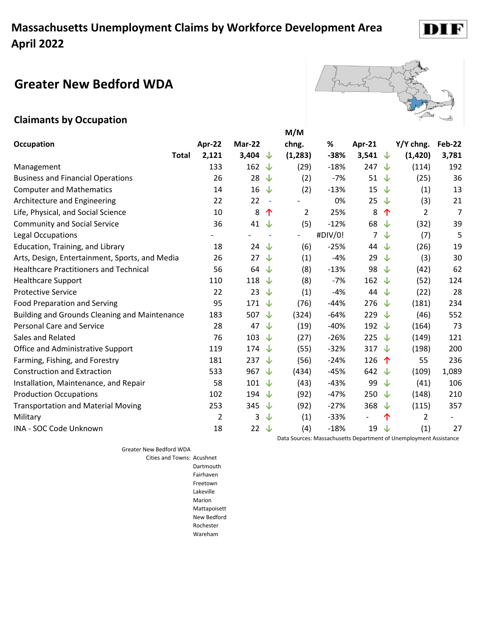# **Greater New Bedford WDA**

#### **Claimants by Occupation**

|                                                      |                |                  |              | M/M            |         |                    |              |                |                |
|------------------------------------------------------|----------------|------------------|--------------|----------------|---------|--------------------|--------------|----------------|----------------|
| <b>Occupation</b>                                    | Apr-22         | Mar-22           |              | chng.          | %       | Apr-21             |              | Y/Y chng.      | <b>Feb-22</b>  |
| <b>Total</b>                                         | 2,121          | 3,404 $\sqrt$    |              | (1, 283)       | $-38%$  | 3,541 $\downarrow$ |              | (1,420)        | 3,781          |
| Management                                           | 133            | 162              | $\downarrow$ | (29)           | $-18%$  | 247                | ↓            | (114)          | 192            |
| <b>Business and Financial Operations</b>             | 26             | 28               | $\downarrow$ | (2)            | $-7%$   | 51 $\downarrow$    |              | (25)           | 36             |
| <b>Computer and Mathematics</b>                      | 14             | 16               | ↓            | (2)            | $-13%$  | 15 $\downarrow$    |              | (1)            | 13             |
| Architecture and Engineering                         | 22             | 22               | $\sim$       |                | 0%      | 25                 | ╰┸           | (3)            | 21             |
| Life, Physical, and Social Science                   | 10             | 8                | 个            | 2              | 25%     | 8                  | 个            | $\overline{2}$ | $\overline{7}$ |
| <b>Community and Social Service</b>                  | 36             | 41               | $\downarrow$ | (5)            | $-12%$  | 68 $\sqrt$         |              | (32)           | 39             |
| Legal Occupations                                    |                |                  |              | $\overline{a}$ | #DIV/0! | $\overline{7}$     | ↓            | (7)            | 5              |
| Education, Training, and Library                     | 18             | 24               | ⇃            | (6)            | $-25%$  | 44 $\sqrt$         |              | (26)           | 19             |
| Arts, Design, Entertainment, Sports, and Media       | 26             | 27               | ↓            | (1)            | $-4%$   | 29                 | ↓            | (3)            | 30             |
| <b>Healthcare Practitioners and Technical</b>        | 56             | 64               | $\downarrow$ | (8)            | $-13%$  | 98                 | 支            | (42)           | 62             |
| <b>Healthcare Support</b>                            | 110            | 118 $\downarrow$ |              | (8)            | $-7%$   | 162 $\sqrt$        |              | (52)           | 124            |
| <b>Protective Service</b>                            | 22             | 23               | ↓            | (1)            | $-4%$   | 44 $\downarrow$    |              | (22)           | 28             |
| <b>Food Preparation and Serving</b>                  | 95             | 171 $\sqrt$      |              | (76)           | $-44%$  | 276                | ∿            | (181)          | 234            |
| <b>Building and Grounds Cleaning and Maintenance</b> | 183            | 507              | √            | (324)          | $-64%$  | 229                | ∿            | (46)           | 552            |
| <b>Personal Care and Service</b>                     | 28             | 47               | ↓            | (19)           | $-40%$  | 192 $\sqrt$        |              | (164)          | 73             |
| Sales and Related                                    | 76             | 103 $\sqrt$      |              | (27)           | $-26%$  | 225 $\downarrow$   |              | (149)          | 121            |
| Office and Administrative Support                    | 119            | $174 \sqrt$      |              | (55)           | $-32%$  | 317                | ╰┸           | (198)          | 200            |
| Farming, Fishing, and Forestry                       | 181            | 237 $\sqrt{ }$   |              | (56)           | $-24%$  | 126                | $\hat{\tau}$ | 55             | 236            |
| <b>Construction and Extraction</b>                   | 533            | 967 $\sqrt$      |              | (434)          | $-45%$  | 642 $\downarrow$   |              | (109)          | 1,089          |
| Installation, Maintenance, and Repair                | 58             | 101 $\sqrt$      |              | (43)           | $-43%$  | 99                 | ∿            | (41)           | 106            |
| <b>Production Occupations</b>                        | 102            | 194 $\sqrt$      |              | (92)           | $-47%$  | 250                | ∿            | (148)          | 210            |
| <b>Transportation and Material Moving</b>            | 253            | 345              | ↓            | (92)           | $-27%$  | 368                | ⇃            | (115)          | 357            |
| Military                                             | $\overline{2}$ | 3                | ↓            | (1)            | $-33%$  |                    | 个            | $\overline{2}$ |                |
| INA - SOC Code Unknown                               | 18             | 22 $\downarrow$  |              | (4)            | $-18%$  | 19                 | ↓            | (1)            | 27             |

Greater New Bedford WDA

Cities and Towns: Acushnet Dartmouth Fairhaven Freetown Lakeville Marion Mattapoisett New Bedford Rochester Wareham

Data Sources: Massachusetts Department of Unemployment Assistance

prent

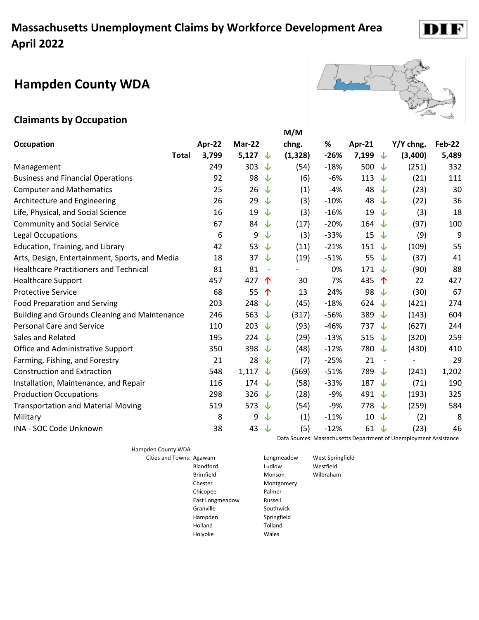# **Hampden County WDA**

#### **Claimants by Occupation**

|                                                      |        |                    |                          | M/M      |        |                |                       |           |               |
|------------------------------------------------------|--------|--------------------|--------------------------|----------|--------|----------------|-----------------------|-----------|---------------|
| <b>Occupation</b>                                    | Apr-22 | Mar-22             |                          | chng.    | %      | Apr-21         |                       | Y/Y chng. | <b>Feb-22</b> |
| Total                                                | 3,799  | 5,127 $\downarrow$ |                          | (1, 328) | $-26%$ | 7,199          | ∿                     | (3,400)   | 5,489         |
| Management                                           | 249    | 303                | J                        | (54)     | $-18%$ | 500            | J                     | (251)     | 332           |
| <b>Business and Financial Operations</b>             | 92     | 98                 | ↓                        | (6)      | $-6%$  | 113            | ◡                     | (21)      | 111           |
| <b>Computer and Mathematics</b>                      | 25     | 26                 | ↓                        | (1)      | $-4%$  | 48             | J                     | (23)      | 30            |
| <b>Architecture and Engineering</b>                  | 26     | 29                 | ↓                        | (3)      | $-10%$ | 48             | J                     | (22)      | 36            |
| Life, Physical, and Social Science                   | 16     | 19 $\downarrow$    |                          | (3)      | $-16%$ | 19             | J                     | (3)       | 18            |
| <b>Community and Social Service</b>                  | 67     | 84 $\sqrt$         |                          | (17)     | $-20%$ | 164 $\sqrt$    |                       | (97)      | 100           |
| Legal Occupations                                    | 6      | 9                  | ↓                        | (3)      | $-33%$ | 15             | J                     | (9)       | 9             |
| Education, Training, and Library                     | 42     | 53 $\sqrt{ }$      |                          | (11)     | $-21%$ | 151            | ् √∕                  | (109)     | 55            |
| Arts, Design, Entertainment, Sports, and Media       | 18     | 37                 | √                        | (19)     | $-51%$ | 55             | J                     | (37)      | 41            |
| <b>Healthcare Practitioners and Technical</b>        | 81     | 81                 | $\overline{\phantom{a}}$ |          | 0%     | 171 $\sqrt{ }$ |                       | (90)      | 88            |
| <b>Healthcare Support</b>                            | 457    | 427                | ↑                        | 30       | 7%     | 435            | $\hat{\mathbf{\tau}}$ | 22        | 427           |
| <b>Protective Service</b>                            | 68     | 55                 | ↑                        | 13       | 24%    | 98             | ◡                     | (30)      | 67            |
| <b>Food Preparation and Serving</b>                  | 203    | 248 $\downarrow$   |                          | (45)     | $-18%$ | 624            | √                     | (421)     | 274           |
| <b>Building and Grounds Cleaning and Maintenance</b> | 246    | 563                | ∿                        | (317)    | $-56%$ | 389            | ◡                     | (143)     | 604           |
| <b>Personal Care and Service</b>                     | 110    | 203 $\sqrt{ }$     |                          | (93)     | $-46%$ | 737 $\sqrt{ }$ |                       | (627)     | 244           |
| Sales and Related                                    | 195    | 224 $\downarrow$   |                          | (29)     | $-13%$ | 515 $\sqrt$    |                       | (320)     | 259           |
| Office and Administrative Support                    | 350    | 398 $\sqrt$        |                          | (48)     | $-12%$ | 780            | √                     | (430)     | 410           |
| Farming, Fishing, and Forestry                       | 21     | 28                 | ↓                        | (7)      | $-25%$ | 21             |                       |           | 29            |
| <b>Construction and Extraction</b>                   | 548    | 1,117 $\sqrt$      |                          | (569)    | $-51%$ | 789            | ◡                     | (241)     | 1,202         |
| Installation, Maintenance, and Repair                | 116    | 174 $\sqrt$        |                          | (58)     | $-33%$ | 187            | ╰┸                    | (71)      | 190           |
| <b>Production Occupations</b>                        | 298    | 326 $\sqrt{ }$     |                          | (28)     | $-9%$  | 491 $\sqrt$    |                       | (193)     | 325           |
| <b>Transportation and Material Moving</b>            | 519    | 573 $\downarrow$   |                          | (54)     | $-9%$  | 778            | ↓                     | (259)     | 584           |
| Military                                             | 8      | 9                  | ↓                        | (1)      | $-11%$ | 10             | ◡                     | (2)       | 8             |
| INA - SOC Code Unknown                               | 38     | 43                 | ╰┸                       | (5)      | $-12%$ | 61             | ╰┸                    | (23)      | 46            |

Hampden County WDA

Cities and Towns: Agawam Longmeadow West Springfield Blandford Ludlow Westfield Brimfield Monson Wilbraham Chester Montgomery Chicopee Palmer East Longmeadow Russell Granville Southwick Hampden Springfield Holland Tolland Holyoke Wales



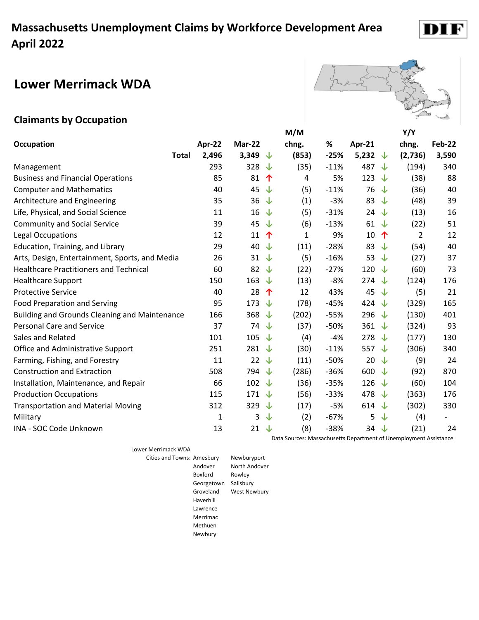#### **Lower Merrimack WDA**

#### **Claimants by Occupation**

|                                                |        |                |              | M/M   |        |                  | Y/Y     |               |
|------------------------------------------------|--------|----------------|--------------|-------|--------|------------------|---------|---------------|
| <b>Occupation</b>                              | Apr-22 | Mar-22         |              | chng. | %      | Apr-21           | chng.   | <b>Feb-22</b> |
| Total                                          | 2,496  | 3,349          | ╰┸           | (853) | $-25%$ | 5,232<br>◡       | (2,736) | 3,590         |
| Management                                     | 293    | 328            | ↓            | (35)  | $-11%$ | 487<br>√         | (194)   | 340           |
| <b>Business and Financial Operations</b>       | 85     | 81             | 个            | 4     | 5%     | 123<br>⇃         | (38)    | 88            |
| <b>Computer and Mathematics</b>                | 40     | 45             | ↓            | (5)   | $-11%$ | 76<br>↓          | (36)    | 40            |
| Architecture and Engineering                   | 35     | 36             | ↓            | (1)   | $-3%$  | 83<br>↓          | (48)    | 39            |
| Life, Physical, and Social Science             | 11     | 16             | ↓            | (5)   | $-31%$ | 24<br>╰┸         | (13)    | 16            |
| <b>Community and Social Service</b>            | 39     | 45             | ↓            | (6)   | $-13%$ | 61<br>∿          | (22)    | 51            |
| <b>Legal Occupations</b>                       | 12     | 11             | 个            | 1     | 9%     | 10<br>个          | 2       | 12            |
| Education, Training, and Library               | 29     | 40             | ↓            | (11)  | $-28%$ | 83<br>◡          | (54)    | 40            |
| Arts, Design, Entertainment, Sports, and Media | 26     | 31             | $\downarrow$ | (5)   | $-16%$ | 53<br>↓          | (27)    | 37            |
| <b>Healthcare Practitioners and Technical</b>  | 60     | 82             | ↓            | (22)  | $-27%$ | 120<br>√         | (60)    | 73            |
| <b>Healthcare Support</b>                      | 150    | 163            | ↓            | (13)  | $-8%$  | 274 $\downarrow$ | (124)   | 176           |
| <b>Protective Service</b>                      | 40     | 28             | 个            | 12    | 43%    | 45<br>↓          | (5)     | 21            |
| <b>Food Preparation and Serving</b>            | 95     | 173            | ↓            | (78)  | $-45%$ | 424<br>√         | (329)   | 165           |
| Building and Grounds Cleaning and Maintenance  | 166    | 368            | ↓            | (202) | $-55%$ | 296<br>╰┸        | (130)   | 401           |
| <b>Personal Care and Service</b>               | 37     | 74             | ↓            | (37)  | $-50%$ | 361 $\downarrow$ | (324)   | 93            |
| Sales and Related                              | 101    | 105            | ↓            | (4)   | $-4%$  | 278<br>√⊾        | (177)   | 130           |
| Office and Administrative Support              | 251    | 281            | $\downarrow$ | (30)  | $-11%$ | 557 $\downarrow$ | (306)   | 340           |
| Farming, Fishing, and Forestry                 | 11     | 22             | ↓            | (11)  | $-50%$ | 20<br>╰┸         | (9)     | 24            |
| <b>Construction and Extraction</b>             | 508    | 794            | ↓            | (286) | $-36%$ | 600<br>∿         | (92)    | 870           |
| Installation, Maintenance, and Repair          | 66     | 102 $\sqrt$    |              | (36)  | $-35%$ | 126<br>↓         | (60)    | 104           |
| <b>Production Occupations</b>                  | 115    | 171 $\sqrt{ }$ |              | (56)  | $-33%$ | 478<br>╰┸        | (363)   | 176           |
| <b>Transportation and Material Moving</b>      | 312    | 329            | ↓            | (17)  | $-5%$  | 614 $\sqrt$      | (302)   | 330           |
| Military                                       | 1      | 3              | ↓            | (2)   | $-67%$ | 5<br>↓           | (4)     |               |
| INA - SOC Code Unknown                         | 13     | 21             | ↓            | (8)   | $-38%$ | 34 $\downarrow$  | (21)    | 24            |

Lower Merrimack WDA

Data Sources: Massachusetts Department of Unemployment Assistance

Cities and Towns: Amesbury Newburyport Andover North Andover Boxford Rowley Georgetown Salisbury Groveland West Newbury Haverhill Lawrence Merrimac Methuen Newbury

**Y/Y** 



D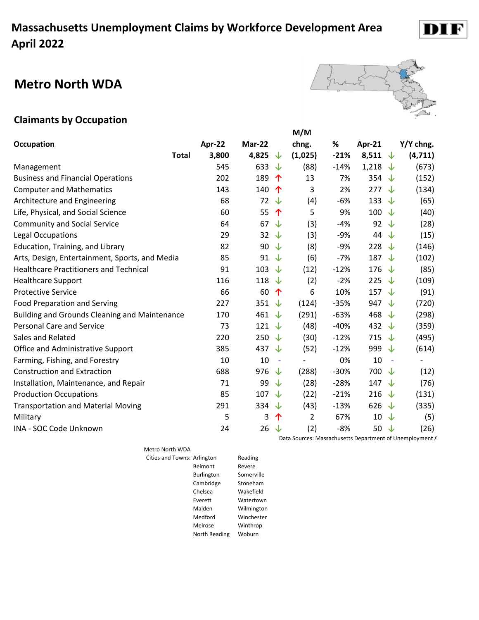#### **Metro North WDA**



DI

#### **Claimants by Occupation**

|                                                      |        |                    | M/M                      |        |                                |           |
|------------------------------------------------------|--------|--------------------|--------------------------|--------|--------------------------------|-----------|
| <b>Occupation</b>                                    | Apr-22 | Mar-22             | chng.                    | %      | Apr-21                         | Y/Y chng. |
| <b>Total</b>                                         | 3,800  | 4,825<br>└↑        | (1,025)                  | $-21%$ | 8,511 $\sqrt{ }$               | (4, 711)  |
| Management                                           | 545    | 633<br>↓           | (88)                     | $-14%$ | 1,218<br>⇃                     | (673)     |
| <b>Business and Financial Operations</b>             | 202    | 189<br>个           | 13                       | 7%     | 354<br>◡                       | (152)     |
| <b>Computer and Mathematics</b>                      | 143    | 140<br>↑           | 3                        | 2%     | 277<br>√                       | (134)     |
| Architecture and Engineering                         | 68     | 72<br>↓            | (4)                      | $-6%$  | 133<br>◡                       | (65)      |
| Life, Physical, and Social Science                   | 60     | 55<br>↑            | 5                        | 9%     | 100<br>∿                       | (40)      |
| <b>Community and Social Service</b>                  | 64     | 67<br>J            | (3)                      | $-4%$  | 92<br>J                        | (28)      |
| Legal Occupations                                    | 29     | 32<br>$\downarrow$ | (3)                      | -9%    | 44<br>∿                        | (15)      |
| Education, Training, and Library                     | 82     | 90<br>⇃            | (8)                      | $-9%$  | 228<br>◡                       | (146)     |
| Arts, Design, Entertainment, Sports, and Media       | 85     | 91<br>↓            | (6)                      | $-7%$  | 187<br>↓                       | (102)     |
| <b>Healthcare Practitioners and Technical</b>        | 91     | 103<br>↓           | (12)                     | $-12%$ | 176<br>◡                       | (85)      |
| <b>Healthcare Support</b>                            | 116    | 118 $\downarrow$   | (2)                      | $-2%$  | 225<br>◡                       | (109)     |
| <b>Protective Service</b>                            | 66     | 60<br>个            | 6                        | 10%    | 157<br>√                       | (91)      |
| <b>Food Preparation and Serving</b>                  | 227    | 351<br>↓           | (124)                    | $-35%$ | 947<br>⇃                       | (720)     |
| <b>Building and Grounds Cleaning and Maintenance</b> | 170    | 461<br>√⊾          | (291)                    | $-63%$ | 468<br>◡                       | (298)     |
| <b>Personal Care and Service</b>                     | 73     | 121 $\sqrt$        | (48)                     | $-40%$ | 432 $\downarrow$               | (359)     |
| Sales and Related                                    | 220    | 250 $\sqrt{ }$     | (30)                     | $-12%$ | 715 $\downarrow$               | (495)     |
| Office and Administrative Support                    | 385    | 437<br>↓           | (52)                     | $-12%$ | 999<br>∿                       | (614)     |
| Farming, Fishing, and Forestry                       | 10     | 10                 | $\overline{\phantom{a}}$ | 0%     | 10<br>$\overline{\phantom{a}}$ |           |
| <b>Construction and Extraction</b>                   | 688    | 976<br>↓           | (288)                    | $-30%$ | 700<br>◡                       | (12)      |
| Installation, Maintenance, and Repair                | 71     | 99<br>↓            | (28)                     | $-28%$ | 147<br>⇃                       | (76)      |
| <b>Production Occupations</b>                        | 85     | 107 $\sqrt$        | (22)                     | $-21%$ | 216<br>↓                       | (131)     |
| <b>Transportation and Material Moving</b>            | 291    | 334<br>╰┸          | (43)                     | $-13%$ | 626<br>◡                       | (335)     |
| Military                                             | 5      | 3<br>个             | $\overline{2}$           | 67%    | 10<br>↓                        | (5)       |
| INA - SOC Code Unknown                               | 24     | $26 \sqrt$         | (2)                      | $-8%$  | 50<br>√√                       | (26)      |

Metro North WDA Cities and Towns

| s: Arlington  | Reading    |
|---------------|------------|
| Belmont       | Revere     |
| Burlington    | Somerville |
| Cambridge     | Stoneham   |
| Chelsea       | Wakefield  |
| Fverett       | Watertown  |
| Malden        | Wilmington |
| Medford       | Winchester |
| Melrose       | Winthrop   |
| North Reading | Woburn     |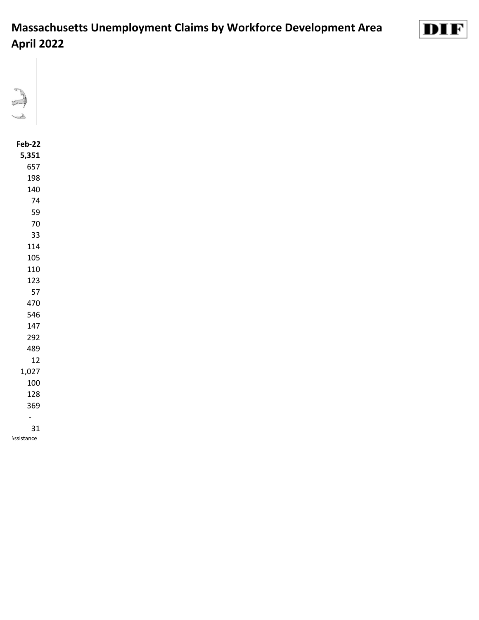



#### **Feb-22**

| 5,351 |
|-------|
| 657   |
| 198   |
| 140   |
| 74    |
| 59    |
| 70    |
| 33    |
| 114   |
| 105   |
| 110   |
| 123   |
| 57    |
| 470   |
| 546   |
| 147   |
| 292   |
| 489   |
| 12    |
| 1,027 |
| 100   |
| 128   |
| 369   |
|       |
| 31    |

**Assistance**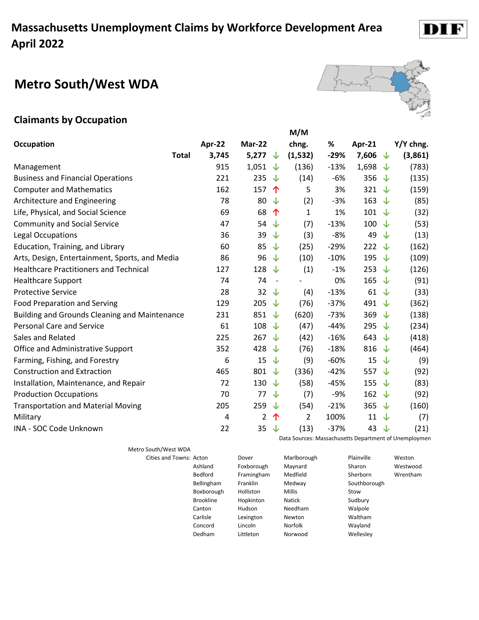# **Metro South/West WDA**

#### **Claimants by Occupation**

|                                                      |        |                     | M/M            |        |        |   |           |
|------------------------------------------------------|--------|---------------------|----------------|--------|--------|---|-----------|
| <b>Occupation</b>                                    | Apr-22 | Mar-22              | chng.          | %      | Apr-21 |   | Y/Y chng. |
| <b>Total</b>                                         | 3,745  | 5,277 $\downarrow$  | (1, 532)       | $-29%$ | 7,606  | ෑ | (3,861)   |
| Management                                           | 915    | 1,051<br>╰┸         | (136)          | $-13%$ | 1,698  | ෑ | (783)     |
| <b>Business and Financial Operations</b>             | 221    | 235<br>↓            | (14)           | $-6%$  | 356    | ෑ | (135)     |
| <b>Computer and Mathematics</b>                      | 162    | 157<br>↑            | 5              | 3%     | 321    | J | (159)     |
| Architecture and Engineering                         | 78     | 80<br>↓             | (2)            | $-3%$  | 163    | ↓ | (85)      |
| Life, Physical, and Social Science                   | 69     | 68<br>个             | $\mathbf{1}$   | 1%     | 101    | J | (32)      |
| <b>Community and Social Service</b>                  | 47     | 54<br>↓             | (7)            | $-13%$ | 100    | ↓ | (53)      |
| <b>Legal Occupations</b>                             | 36     | 39<br>↓             | (3)            | $-8%$  | 49     | ↓ | (13)      |
| <b>Education, Training, and Library</b>              | 60     | 85<br>↓             | (25)           | $-29%$ | 222    | J | (162)     |
| Arts, Design, Entertainment, Sports, and Media       | 86     | 96<br>↓             | (10)           | $-10%$ | 195    | ↓ | (109)     |
| <b>Healthcare Practitioners and Technical</b>        | 127    | 128<br>↓            | (1)            | $-1%$  | 253    | J | (126)     |
| <b>Healthcare Support</b>                            | 74     | 74<br>$\sim$        |                | 0%     | 165    | J | (91)      |
| <b>Protective Service</b>                            | 28     | 32<br>╰┸            | (4)            | $-13%$ | 61     | ↓ | (33)      |
| <b>Food Preparation and Serving</b>                  | 129    | 205<br>∿            | (76)           | $-37%$ | 491    | J | (362)     |
| <b>Building and Grounds Cleaning and Maintenance</b> | 231    | 851<br>∿            | (620)          | $-73%$ | 369    | ↓ | (138)     |
| <b>Personal Care and Service</b>                     | 61     | 108<br>∿            | (47)           | $-44%$ | 295    | ↓ | (234)     |
| Sales and Related                                    | 225    | 267<br>↓            | (42)           | $-16%$ | 643    | J | (418)     |
| Office and Administrative Support                    | 352    | 428<br>╰┸           | (76)           | $-18%$ | 816    | J | (464)     |
| Farming, Fishing, and Forestry                       | 6      | 15<br>↓             | (9)            | $-60%$ | 15     | J | (9)       |
| <b>Construction and Extraction</b>                   | 465    | 801<br>↓            | (336)          | $-42%$ | 557    | J | (92)      |
| Installation, Maintenance, and Repair                | 72     | 130<br>J            | (58)           | $-45%$ | 155    | ↓ | (83)      |
| <b>Production Occupations</b>                        | 70     | 77<br>↓             | (7)            | $-9%$  | 162    | J | (92)      |
| <b>Transportation and Material Moving</b>            | 205    | 259 $\sqrt$         | (54)           | $-21%$ | 365    | V | (160)     |
| Military                                             | 4      | $\overline{2}$<br>个 | $\overline{2}$ | 100%   | 11     | J | (7)       |
| INA - SOC Code Unknown                               | 22     | 35<br>↓             | (13)           | $-37%$ | 43     | ↓ | (21)      |

Metro South/West WDA

Data Sources: Massachusetts Department of Unemploymen

| Cities and Towns: Acton |                   | Dover            | Marlborough    | Plainville   | Weston   |
|-------------------------|-------------------|------------------|----------------|--------------|----------|
|                         | Ashland           | Foxborough       | Maynard        | Sharon       | Westwood |
|                         | Bedford           | Framingham       | Medfield       | Sherborn     | Wrentham |
|                         | <b>Bellingham</b> | Franklin         | Medway         | Southborough |          |
|                         | Boxborough        | <b>Holliston</b> | <b>Millis</b>  | Stow         |          |
|                         | <b>Brookline</b>  | Hopkinton        | <b>Natick</b>  | Sudbury      |          |
|                         | Canton            | Hudson           | Needham        | Walpole      |          |
|                         | Carlisle          | Lexington        | Newton         | Waltham      |          |
|                         | Concord           | Lincoln          | <b>Norfolk</b> | Wayland      |          |
|                         | Dedham            | Littleton        | Norwood        | Wellesley    |          |
|                         |                   |                  |                |              |          |



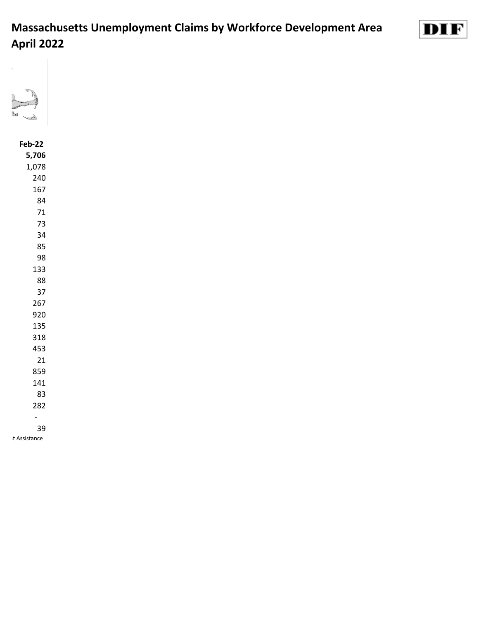



#### **Feb-22 5,706** 1,078 -

t Assistance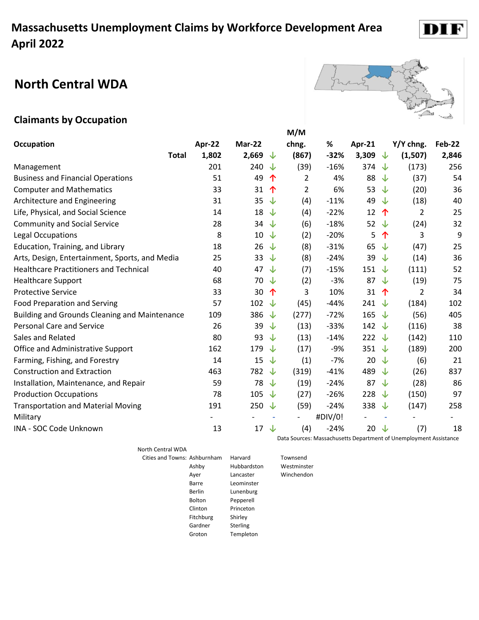# **North Central WDA**



#### **Claimants by Occupation**

|                                                      |        |        |   | M/M            |         |                  |              |                |        |
|------------------------------------------------------|--------|--------|---|----------------|---------|------------------|--------------|----------------|--------|
| Occupation                                           | Apr-22 | Mar-22 |   | chng.          | %       | Apr-21           |              | Y/Y chng.      | Feb-22 |
| <b>Total</b>                                         | 1,802  | 2,669  | J | (867)          | $-32%$  | 3,309            | ↓            | (1,507)        | 2,846  |
| Management                                           | 201    | 240    | J | (39)           | $-16%$  | 374              | √⊾           | (173)          | 256    |
| <b>Business and Financial Operations</b>             | 51     | 49     | 个 | 2              | 4%      | 88               | ↓            | (37)           | 54     |
| <b>Computer and Mathematics</b>                      | 33     | 31     | 个 | $\overline{2}$ | 6%      | 53 $\downarrow$  |              | (20)           | 36     |
| Architecture and Engineering                         | 31     | 35     | ↓ | (4)            | $-11%$  | 49               | ╰┸           | (18)           | 40     |
| Life, Physical, and Social Science                   | 14     | 18     | ↓ | (4)            | $-22%$  | 12               | 个            | 2              | 25     |
| <b>Community and Social Service</b>                  | 28     | 34     | ↓ | (6)            | $-18%$  | 52 $\sqrt{ }$    |              | (24)           | 32     |
| Legal Occupations                                    | 8      | 10     | ↓ | (2)            | $-20%$  | 5                | 个            | 3              | 9      |
| Education, Training, and Library                     | 18     | 26     | ↓ | (8)            | $-31%$  | 65               | ╰┸           | (47)           | 25     |
| Arts, Design, Entertainment, Sports, and Media       | 25     | 33     | ↓ | (8)            | $-24%$  | 39               | J            | (14)           | 36     |
| <b>Healthcare Practitioners and Technical</b>        | 40     | 47     | ↓ | (7)            | $-15%$  | 151 $\sqrt$      |              | (111)          | 52     |
| <b>Healthcare Support</b>                            | 68     | 70     | ↓ | (2)            | $-3%$   | 87 $\sqrt{ }$    |              | (19)           | 75     |
| <b>Protective Service</b>                            | 33     | 30     | 个 | 3              | 10%     | 31               | $\hat{\tau}$ | $\overline{2}$ | 34     |
| <b>Food Preparation and Serving</b>                  | 57     | 102    | ↓ | (45)           | $-44%$  | 241 $\sqrt{ }$   |              | (184)          | 102    |
| <b>Building and Grounds Cleaning and Maintenance</b> | 109    | 386    | J | (277)          | $-72%$  | 165 $\downarrow$ |              | (56)           | 405    |
| <b>Personal Care and Service</b>                     | 26     | 39     | ↓ | (13)           | $-33%$  | 142 $\downarrow$ |              | (116)          | 38     |
| Sales and Related                                    | 80     | 93     | ↓ | (13)           | $-14%$  | 222 $\sqrt{ }$   |              | (142)          | 110    |
| Office and Administrative Support                    | 162    | 179    | J | (17)           | $-9%$   | 351 $\sqrt$      |              | (189)          | 200    |
| Farming, Fishing, and Forestry                       | 14     | 15     | ↓ | (1)            | $-7%$   | 20               | ↓            | (6)            | 21     |
| <b>Construction and Extraction</b>                   | 463    | 782    | ↓ | (319)          | $-41%$  | 489 ↓            |              | (26)           | 837    |
| Installation, Maintenance, and Repair                | 59     | 78     | ↓ | (19)           | $-24%$  | 87               | $\downarrow$ | (28)           | 86     |
| <b>Production Occupations</b>                        | 78     | 105    | J | (27)           | $-26%$  | 228              | √√           | (150)          | 97     |
| <b>Transportation and Material Moving</b>            | 191    | 250    | ↓ | (59)           | $-24%$  | 338              | ↓            | (147)          | 258    |
| Military                                             |        |        |   | -              | #DIV/0! |                  | ٠            |                |        |
| INA - SOC Code Unknown                               | 13     | 17     | ↓ | (4)            | $-24%$  | 20 $\downarrow$  |              | (7)            | 18     |

North Central WDA

| orth Central WDA             |               |             |             |
|------------------------------|---------------|-------------|-------------|
| Cities and Towns: Ashburnham |               | Harvard     | Townsend    |
|                              | Ashby         | Hubbardston | Westminster |
|                              | Ayer          | Lancaster   | Winchendon  |
|                              | Barre         | Leominster  |             |
|                              | Berlin        | Lunenburg   |             |
|                              | <b>Bolton</b> | Pepperell   |             |
|                              | Clinton       | Princeton   |             |
|                              | Fitchburg     | Shirley     |             |
|                              | Gardner       | Sterling    |             |
|                              | Groton        | Templeton   |             |

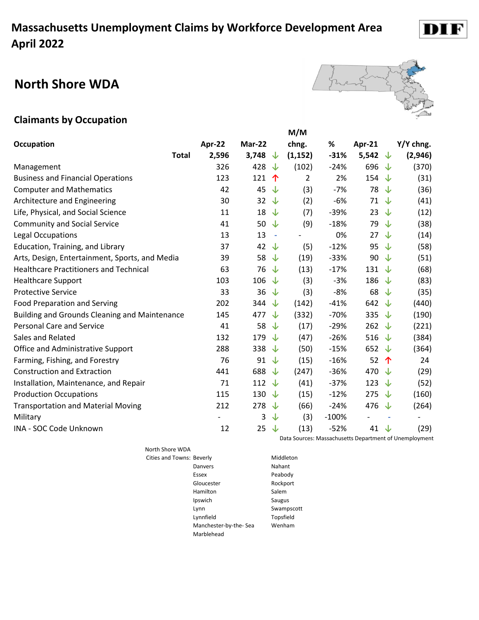#### **North Shore WDA**



#### **Claimants by Occupation**

|                                                      |        |                     | M/M      |         |                          |        |           |
|------------------------------------------------------|--------|---------------------|----------|---------|--------------------------|--------|-----------|
| <b>Occupation</b>                                    | Apr-22 | Mar-22              | chng.    | $\%$    | Apr-21                   |        | Y/Y chng. |
| <b>Total</b>                                         | 2,596  | 3,748<br>↓          | (1, 152) | $-31%$  | 5,542 $\sqrt{ }$         |        | (2,946)   |
| Management                                           | 326    | 428<br>J            | (102)    | $-24%$  | 696                      | ↓      | (370)     |
| <b>Business and Financial Operations</b>             | 123    | 121<br>个            | 2        | 2%      | 154                      | ↓      | (31)      |
| <b>Computer and Mathematics</b>                      | 42     | 45<br>↓             | (3)      | $-7%$   | 78                       | J      | (36)      |
| Architecture and Engineering                         | 30     | 32<br>↓             | (2)      | $-6%$   | 71                       | ↓      | (41)      |
| Life, Physical, and Social Science                   | 11     | 18<br>↓             | (7)      | $-39%$  | 23                       | J      | (12)      |
| <b>Community and Social Service</b>                  | 41     | 50<br>↓             | (9)      | $-18%$  | 79                       | J      | (38)      |
| Legal Occupations                                    | 13     | 13<br>$\sim$        |          | 0%      | 27                       | ↓      | (14)      |
| Education, Training, and Library                     | 37     | 42<br>↓             | (5)      | $-12%$  | 95                       | ◡      | (58)      |
| Arts, Design, Entertainment, Sports, and Media       | 39     | 58<br>↓             | (19)     | $-33%$  | 90                       | J      | (51)      |
| <b>Healthcare Practitioners and Technical</b>        | 63     | 76<br>↓             | (13)     | $-17%$  | 131                      | ↓      | (68)      |
| <b>Healthcare Support</b>                            | 103    | 106<br>$\downarrow$ | (3)      | $-3%$   | 186                      | ◡      | (83)      |
| <b>Protective Service</b>                            | 33     | 36<br>↓             | (3)      | $-8%$   | 68                       | ↓      | (35)      |
| <b>Food Preparation and Serving</b>                  | 202    | 344<br>↓            | (142)    | $-41%$  | 642                      | J      | (440)     |
| <b>Building and Grounds Cleaning and Maintenance</b> | 145    | 477<br>J            | (332)    | $-70%$  | 335                      | ↓      | (190)     |
| <b>Personal Care and Service</b>                     | 41     | 58<br>↓             | (17)     | $-29%$  | 262                      | ↓      | (221)     |
| Sales and Related                                    | 132    | 179<br>↓            | (47)     | $-26%$  | 516                      | ↓      | (384)     |
| Office and Administrative Support                    | 288    | 338<br>↓            | (50)     | $-15%$  | 652                      | ◡      | (364)     |
| Farming, Fishing, and Forestry                       | 76     | 91<br>↓             | (15)     | $-16%$  | 52                       | 个      | 24        |
| <b>Construction and Extraction</b>                   | 441    | 688<br>↓            | (247)    | $-36%$  | 470                      | ◡      | (29)      |
| Installation, Maintenance, and Repair                | 71     | 112<br>↓            | (41)     | $-37%$  | 123                      | ↓      | (52)      |
| <b>Production Occupations</b>                        | 115    | 130<br>↓            | (15)     | $-12%$  | 275                      | ↓      | (160)     |
| <b>Transportation and Material Moving</b>            | 212    | 278<br>↓            | (66)     | $-24%$  | 476                      | J      | (264)     |
| Military                                             |        | 3<br>↓              | (3)      | $-100%$ | $\overline{\phantom{0}}$ | $\sim$ |           |
| INA - SOC Code Unknown                               | 12     | 25<br>↓             | (13)     | $-52%$  | 41                       | ↓      | (29)      |

North Shore WDA Cities and Towns: Beverly **Middleton** Danvers Nahant Essex Peabody Gloucester Rockport Hamilton Salem Ipswich Saugus Lynn Swampscott Lynnfield Topsfield Manchester-by-the- Sea Wenham Marblehead

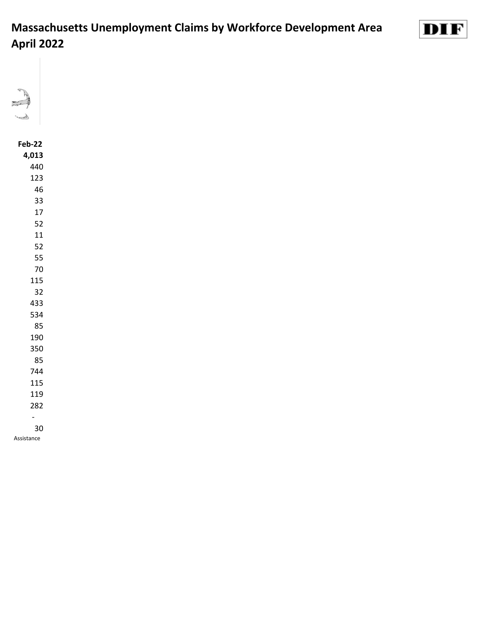

#### **Feb-22 4,013** - Assistance

DIF